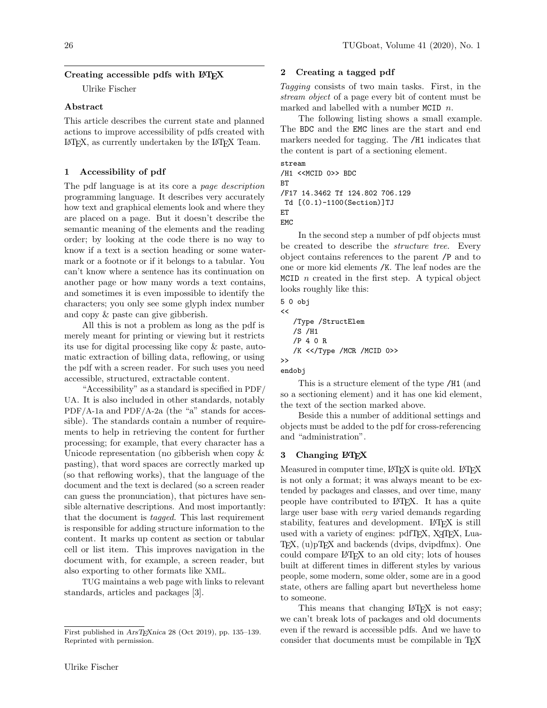### Creating accessible pdfs with  $\mathbb{P}\mathbb{F}X$

Ulrike Fischer

# Abstract

This article describes the current state and planned actions to improve accessibility of pdfs created with LATEX, as currently undertaken by the LATEX Team.

## 1 Accessibility of pdf

The pdf language is at its core a page description programming language. It describes very accurately how text and graphical elements look and where they are placed on a page. But it doesn't describe the semantic meaning of the elements and the reading order; by looking at the code there is no way to know if a text is a section heading or some watermark or a footnote or if it belongs to a tabular. You can't know where a sentence has its continuation on another page or how many words a text contains, and sometimes it is even impossible to identify the characters; you only see some glyph index number and copy & paste can give gibberish.

All this is not a problem as long as the pdf is merely meant for printing or viewing but it restricts its use for digital processing like copy & paste, automatic extraction of billing data, reflowing, or using the pdf with a screen reader. For such uses you need accessible, structured, extractable content.

"Accessibility" as a standard is specified in PDF/ UA. It is also included in other standards, notably PDF/A-1a and PDF/A-2a (the "a" stands for accessible). The standards contain a number of requirements to help in retrieving the content for further processing; for example, that every character has a Unicode representation (no gibberish when copy  $\&$ pasting), that word spaces are correctly marked up (so that reflowing works), that the language of the document and the text is declared (so a screen reader can guess the pronunciation), that pictures have sensible alternative descriptions. And most importantly: that the document is tagged. This last requirement is responsible for adding structure information to the content. It marks up content as section or tabular cell or list item. This improves navigation in the document with, for example, a screen reader, but also exporting to other formats like XML.

TUG maintains a web page with links to relevant standards, articles and packages [3].

## 2 Creating a tagged pdf

Tagging consists of two main tasks. First, in the stream object of a page every bit of content must be marked and labelled with a number MCID  $n$ .

The following listing shows a small example. The BDC and the EMC lines are the start and end markers needed for tagging. The /H1 indicates that the content is part of a sectioning element.

```
stream
/H1 <<MCID 0>> BDC
BT
/F17 14.3462 Tf 124.802 706.129
 Td [(0.1)-1100(Section)]TJ
ET
```
EMC

In the second step a number of pdf objects must be created to describe the *structure tree*. Every object contains references to the parent /P and to one or more kid elements /K. The leaf nodes are the MCID *n* created in the first step. A typical object looks roughly like this:

```
5 0 obj
<<
```

```
/Type /StructElem
/S /H1
/P 4 0 R
/K <</Type /MCR /MCID 0>>
```
>> endobj

This is a structure element of the type /H1 (and so a sectioning element) and it has one kid element, the text of the section marked above.

Beside this a number of additional settings and objects must be added to the pdf for cross-referencing and "administration".

### 3 Changing LAT<sub>E</sub>X

Measured in computer time, LAT<sub>EX</sub> is quite old. LAT<sub>EX</sub> is not only a format; it was always meant to be extended by packages and classes, and over time, many people have contributed to LATEX. It has a quite large user base with *very* varied demands regarding stability, features and development. LAT<sub>EX</sub> is still used with a variety of engines: pdfT<sub>F</sub>X, X<sub>T</sub>T<sub>F</sub>X, Lua- $TeX, (u)pTeX$  and backends (dvips, dvipdfmx). One could compare LATEX to an old city; lots of houses built at different times in different styles by various people, some modern, some older, some are in a good state, others are falling apart but nevertheless home to someone.

This means that changing LAT<sub>F</sub>X is not easy; we can't break lots of packages and old documents even if the reward is accessible pdfs. And we have to consider that documents must be compilable in TFX

First published in ArsTEXnica 28 (Oct 2019), pp. 135–139. Reprinted with permission.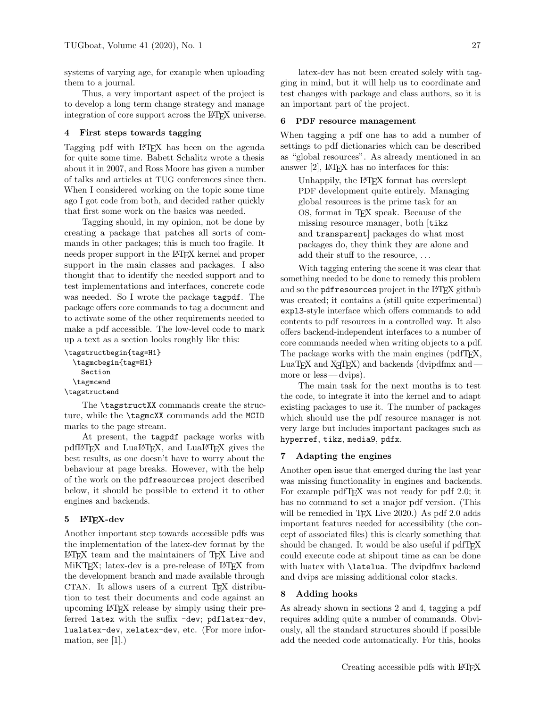systems of varying age, for example when uploading them to a journal.

Thus, a very important aspect of the project is to develop a long term change strategy and manage integration of core support across the LAT<sub>EX</sub> universe.

### 4 First steps towards tagging

Tagging pdf with L<sup>AT</sup>EX has been on the agenda for quite some time. Babett Schalitz wrote a thesis about it in 2007, and Ross Moore has given a number of talks and articles at TUG conferences since then. When I considered working on the topic some time ago I got code from both, and decided rather quickly that first some work on the basics was needed.

Tagging should, in my opinion, not be done by creating a package that patches all sorts of commands in other packages; this is much too fragile. It needs proper support in the L<sup>AT</sup>FX kernel and proper support in the main classes and packages. I also thought that to identify the needed support and to test implementations and interfaces, concrete code was needed. So I wrote the package tagpdf. The package offers core commands to tag a document and to activate some of the other requirements needed to make a pdf accessible. The low-level code to mark up a text as a section looks roughly like this:

```
\tagstructbegin{tag=H1}
  \tagmcbegin{tag=H1}
    Section
  \tagmcend
\tagstructend
```
The **\tagstructXX** commands create the structure, while the \tagmcXX commands add the MCID marks to the page stream.

At present, the tagpdf package works with pdfLATEX and LuaLATEX, and LuaLATEX gives the best results, as one doesn't have to worry about the behaviour at page breaks. However, with the help of the work on the pdfresources project described below, it should be possible to extend it to other engines and backends.

### 5 LAT<sub>F</sub>X-dev

Another important step towards accessible pdfs was the implementation of the latex-dev format by the LATEX team and the maintainers of TEX Live and MiKT<sub>EX</sub>; latex-dev is a pre-release of L<sup>AT</sup>EX from the development branch and made available through CTAN. It allows users of a current T<sub>EX</sub> distribution to test their documents and code against an upcoming LATEX release by simply using their preferred latex with the suffix -dev; pdflatex-dev, lualatex-dev, xelatex-dev, etc. (For more information, see  $[1]$ .)

latex-dev has not been created solely with tagging in mind, but it will help us to coordinate and test changes with package and class authors, so it is an important part of the project.

#### 6 PDF resource management

When tagging a pdf one has to add a number of settings to pdf dictionaries which can be described as "global resources". As already mentioned in an answer  $[2]$ , LAT<sub>F</sub>X has no interfaces for this:

Unhappily, the L<sup>AT</sup>FX format has overslept PDF development quite entirely. Managing global resources is the prime task for an OS, format in TEX speak. Because of the missing resource manager, both [tikz and transparent] packages do what most packages do, they think they are alone and add their stuff to the resource, . . .

With tagging entering the scene it was clear that something needed to be done to remedy this problem and so the **pdfresources** project in the LAT<sub>E</sub>X github was created; it contains a (still quite experimental) expl3-style interface which offers commands to add contents to pdf resources in a controlled way. It also offers backend-independent interfaces to a number of core commands needed when writing objects to a pdf. The package works with the main engines (pdfT<sub>E</sub>X, LuaTEX and  $X \oplus Y$  and backends (dvipdfmx and  $$ more or less— dvips).

The main task for the next months is to test the code, to integrate it into the kernel and to adapt existing packages to use it. The number of packages which should use the pdf resource manager is not very large but includes important packages such as hyperref, tikz, media9, pdfx.

## 7 Adapting the engines

Another open issue that emerged during the last year was missing functionality in engines and backends. For example pdfT<sub>E</sub>X was not ready for pdf 2.0; it has no command to set a major pdf version. (This will be remedied in T<sub>F</sub>X Live 2020.) As pdf 2.0 adds important features needed for accessibility (the concept of associated files) this is clearly something that should be changed. It would be also useful if pdfTFX could execute code at shipout time as can be done with luatex with \latelua. The dvipdfmx backend and dvips are missing additional color stacks.

# 8 Adding hooks

As already shown in sections 2 and 4, tagging a pdf requires adding quite a number of commands. Obviously, all the standard structures should if possible add the needed code automatically. For this, hooks